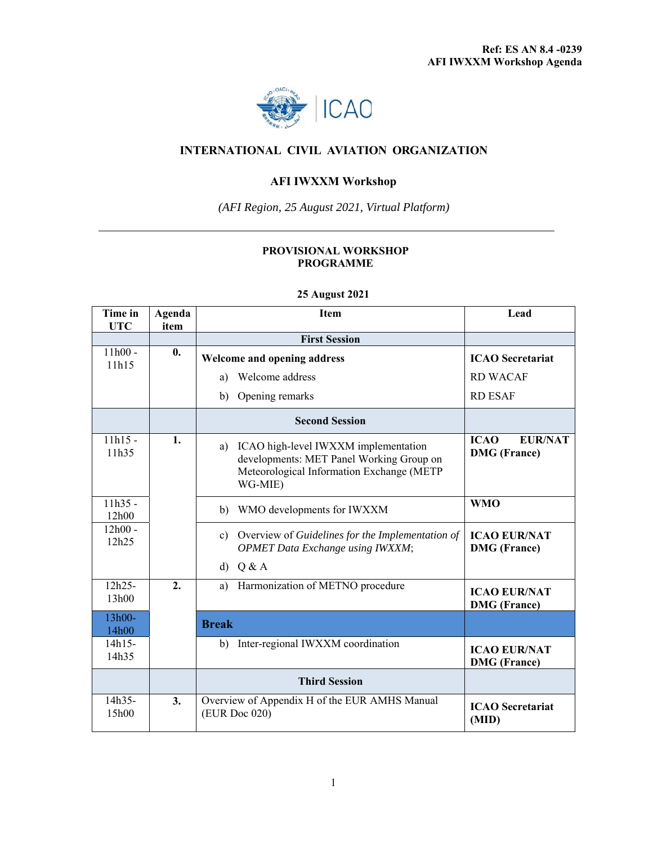

## **INTERNATIONAL CIVIL AVIATION ORGANIZATION**

## **AFI IWXXM Workshop**

*(AFI Region, 25 August 2021, Virtual Platform)* 

## **PROVISIONAL WORKSHOP PROGRAMME**

| Time in            | Agenda             | <b>Item</b>                                                                                                                                    | Lead                                                 |
|--------------------|--------------------|------------------------------------------------------------------------------------------------------------------------------------------------|------------------------------------------------------|
| <b>UTC</b>         | item               | <b>First Session</b>                                                                                                                           |                                                      |
| $11h00 -$          | $\boldsymbol{0}$ . |                                                                                                                                                |                                                      |
| 11h15              |                    | <b>Welcome and opening address</b>                                                                                                             | <b>ICAO</b> Secretariat                              |
|                    |                    | Welcome address<br>a)                                                                                                                          | <b>RD WACAF</b>                                      |
|                    |                    | Opening remarks<br>b)                                                                                                                          | <b>RD ESAF</b>                                       |
|                    |                    | <b>Second Session</b>                                                                                                                          |                                                      |
| $11h15 -$<br>11h35 | 1.                 | ICAO high-level IWXXM implementation<br>a)<br>developments: MET Panel Working Group on<br>Meteorological Information Exchange (METP<br>WG-MIE) | <b>ICAO</b><br><b>EUR/NAT</b><br><b>DMG</b> (France) |
| $11h35 -$<br>12h00 |                    | WMO developments for IWXXM<br>b)                                                                                                               | <b>WMO</b>                                           |
| $12h00 -$<br>12h25 |                    | Overview of Guidelines for the Implementation of<br>$\mathbf{c}$<br><b>OPMET Data Exchange using IWXXM;</b>                                    | <b>ICAO EUR/NAT</b><br><b>DMG</b> (France)           |
|                    |                    | Q & A<br>d)                                                                                                                                    |                                                      |
| 12h25-<br>13h00    | 2.                 | Harmonization of METNO procedure<br>a)                                                                                                         | <b>ICAO EUR/NAT</b><br><b>DMG</b> (France)           |
| 13h00-<br>14h00    |                    | <b>Break</b>                                                                                                                                   |                                                      |
| 14h15-<br>14h35    |                    | Inter-regional IWXXM coordination<br>b)                                                                                                        | <b>ICAO EUR/NAT</b><br><b>DMG</b> (France)           |
|                    |                    | <b>Third Session</b>                                                                                                                           |                                                      |
| 14h35-<br>15h00    | 3.                 | Overview of Appendix H of the EUR AMHS Manual<br>(EUR Doc 020)                                                                                 | <b>ICAO</b> Secretariat<br>(MID)                     |

## **25 August 2021**